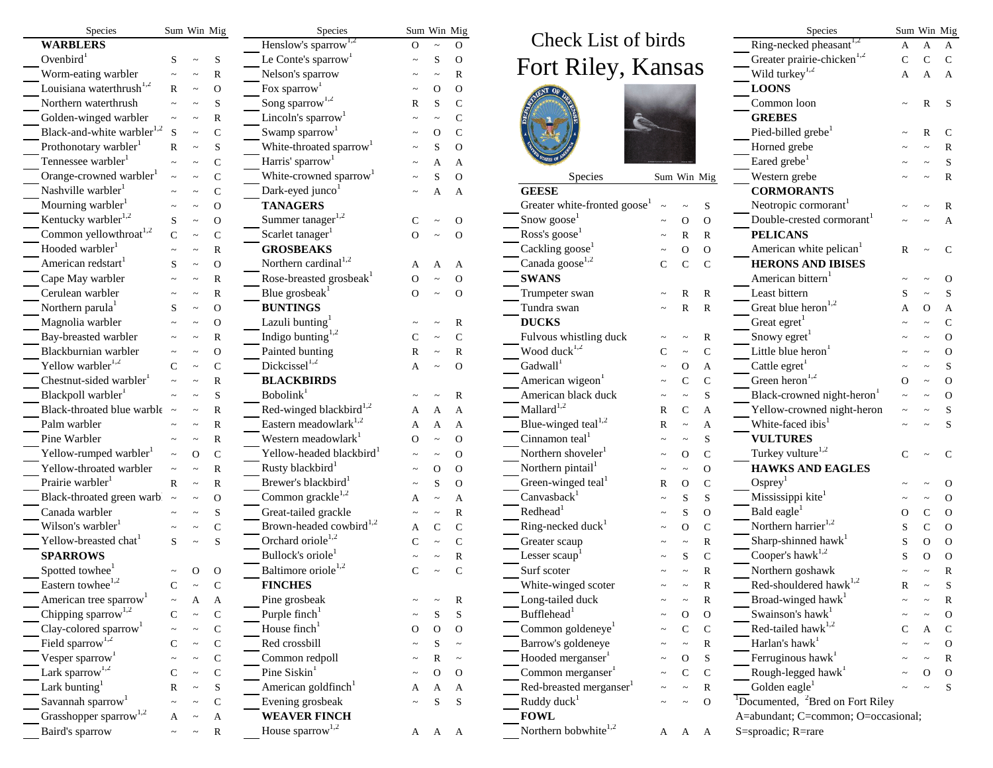| Species                                |              |              | Sum Win Mig           | Species                              | Sum Win Mig |       |               |                                          |   | Species               | Sum Win Mig      |                                                         |   |   |                |
|----------------------------------------|--------------|--------------|-----------------------|--------------------------------------|-------------|-------|---------------|------------------------------------------|---|-----------------------|------------------|---------------------------------------------------------|---|---|----------------|
| <b>WARBLERS</b>                        |              |              |                       | Henslow's sparrow <sup>1,2</sup>     | $\Omega$    |       | $\Omega$      | Check List of birds                      |   |                       |                  | Ring-necked pheasant <sup>1,2</sup>                     | A | A | A              |
| Ovenbird $1$                           | S            |              | S                     | Le Conte's sparrow <sup>1</sup>      |             |       | $\mathbf{O}$  |                                          |   |                       |                  | Greater prairie-chicken <sup>1,2</sup>                  |   |   | $\mathcal{C}$  |
| Worm-eating warbler                    |              |              | $\mathbb{R}$          | Nelson's sparrow                     |             |       | R             | Fort Riley, Kansas                       |   |                       |                  | Wild turkey <sup>1,2</sup>                              |   |   | $\overline{A}$ |
| Louisiana waterthrush $1,2$            | R            |              | $\mathbf O$           | Fox sparrow <sup>1</sup>             |             |       | $\Omega$      |                                          |   |                       |                  | <b>LOONS</b>                                            |   |   |                |
| Northern waterthrush                   |              |              | S                     | Song sparrow <sup>1,2</sup>          |             |       | $\mathcal{C}$ |                                          |   |                       |                  | Common loon                                             |   |   | $\mathbf S$    |
| Golden-winged warbler                  |              |              | $\mathbb{R}$          | Lincoln's sparrow <sup>1</sup>       |             |       |               |                                          | è |                       |                  | <b>GREBES</b>                                           |   |   |                |
| Black-and-white warbler <sup>1,2</sup> | <sub>S</sub> |              | $\mathsf{C}$          | Swamp sparrow <sup>1</sup>           |             |       |               |                                          |   |                       |                  | Pied-billed grebe <sup>1</sup>                          |   |   | C              |
| Prothonotary warbler <sup>1</sup>      | R            |              | S                     | White-throated sparrow <sup>1</sup>  |             |       | $\Omega$      |                                          |   |                       |                  | Horned grebe                                            |   |   |                |
| Tennessee warbler <sup>1</sup>         |              |              | $\mathsf{C}$          | Harris' sparrow <sup>1</sup>         |             |       | А             |                                          |   |                       |                  | Eared grebe <sup>1</sup>                                |   |   | .S             |
| Orange-crowned warbler <sup>1</sup>    |              |              | $\mathsf C$           | White-crowned sparrow <sup>1</sup>   |             |       | $\Omega$      | <b>Species</b>                           |   | Sum Win Mig           |                  | Western grebe                                           |   |   | $\mathbf R$    |
| Nashville warbler <sup>1</sup>         |              |              | ${\bf C}$             | Dark-eyed junco <sup>1</sup>         |             |       | A             | <b>GEESE</b>                             |   |                       |                  | <b>CORMORANTS</b>                                       |   |   |                |
| Mourning warbler <sup>1</sup>          |              |              | $\mathbf O$           | <b>TANAGERS</b>                      |             |       |               | Greater white-fronted goose <sup>1</sup> |   |                       |                  | Neotropic cormorant                                     |   |   |                |
| Kentucky warbler <sup>1,2</sup>        | S            |              | $\mathcal O$          | Summer tanager <sup>1,2</sup>        |             |       | $\mathbf{O}$  | Snow goose                               |   | $\Omega$              | $\overline{O}$   | Double-crested cormorant                                |   |   | A              |
| Common yellow<br>throat $\real^{1,2}$  | $\mathsf{C}$ |              | $\mathsf C$           | Scarlet tanager <sup>1</sup>         | $\Omega$    |       | $\mathbf{O}$  | Ross's goose                             |   | $\overline{\text{R}}$ | $\mathbb{R}$     | <b>PELICANS</b>                                         |   |   |                |
| Hooded warbler <sup>1</sup>            |              |              | $\mathbb{R}$          | <b>GROSBEAKS</b>                     |             |       |               | Cackling goose                           |   | $\Omega$              | $\overline{O}$   | American white pelican <sup>1</sup>                     |   |   | C              |
| American redstart <sup>1</sup>         |              |              | $\overline{O}$        | Northern cardinal <sup>1,2</sup>     |             |       | A             | Canada goose <sup>1,2</sup>              |   | $\mathsf C$           | $\mathcal{C}$    | <b>HERONS AND IBISES</b>                                |   |   |                |
| Cape May warbler                       |              |              | R                     | Rose-breasted grosbeak <sup>1</sup>  |             |       | $\mathbf O$   | <b>SWANS</b>                             |   |                       |                  | American bittern                                        |   |   | $\Omega$       |
| Cerulean warbler                       |              |              | $\mathbb{R}$          | Blue grosbeak <sup>1</sup>           | $\Omega$    |       | $\mathbf{O}$  | Trumpeter swan                           |   | R                     | $\mathbb R$      | Least bittern                                           |   |   | S              |
| Northern parula <sup>1</sup>           |              |              | $\overline{O}$        | <b>BUNTINGS</b>                      |             |       |               | Tundra swan                              |   | R                     | $\mathbb{R}$     | Great blue heron <sup>1,2</sup>                         |   |   | $\mathbf A$    |
| Magnolia warbler                       |              |              | $\Omega$              | Lazuli bunting <sup>1</sup>          |             |       | R             | <b>DUCKS</b>                             |   |                       |                  | Great egret <sup>1</sup>                                |   |   | $\mathcal{C}$  |
| Bay-breasted warbler                   |              |              | $\overline{\text{R}}$ | Indigo bunting $1,2$                 |             |       | ${\bf C}$     | Fulvous whistling duck                   |   |                       |                  | Snowy egret <sup>1</sup>                                |   |   | $\Omega$       |
| Blackburnian warbler                   |              |              | $\Omega$              | Painted bunting                      |             |       | R             | Wood duck <sup>1,2</sup>                 |   |                       | R<br>$\mathbf C$ | Little blue heron <sup>1</sup>                          |   |   | $\Omega$       |
| Yellow warbler <sup>1,2</sup>          |              |              |                       | $Dickcissel$ <sup>1,2</sup>          |             |       | $\Omega$      | $Gadwall$ <sup>1</sup>                   |   |                       |                  | Cattle egret <sup>1</sup>                               |   |   |                |
| Chestnut-sided warbler <sup>1</sup>    |              |              | $\mathsf{C}$          | <b>BLACKBIRDS</b>                    |             |       |               | American wigeon <sup>1</sup>             |   | Ω                     | A                | Green heron <sup>1,2</sup>                              |   |   | $\Omega$       |
| Blackpoll warbler <sup>1</sup>         |              |              | $\mathbb{R}$          | Bobolink <sup>1</sup>                |             |       |               |                                          |   |                       | $\mathsf{C}$     |                                                         |   |   |                |
|                                        |              |              | S                     |                                      |             |       |               | American black duck<br>Mallard $1,2$     |   |                       | S                | Black-crowned night-heron                               |   |   | $\cap$         |
| Black-throated blue warble             |              |              | R                     | Red-winged blackbird <sup>1,2</sup>  |             |       | A             |                                          |   | $\overline{C}$        | А                | Yellow-crowned night-heron                              |   |   |                |
| Palm warbler                           |              |              | $\overline{\text{R}}$ | Eastern meadowlark <sup>1,2</sup>    |             |       | А             | Blue-winged teal <sup>1,2</sup>          |   |                       | А                | White-faced ibis                                        |   |   | <sub>S</sub>   |
| Pine Warbler                           |              |              | $\mathbb{R}$          | Western meadowlark <sup>1</sup>      |             |       | $\Omega$      | Cinnamon teal <sup>1</sup>               |   |                       | S                | <b>VULTURES</b>                                         |   |   |                |
| Yellow-rumped warbler <sup>1</sup>     |              | $\mathbf{O}$ | $\mathsf{C}$          | Yellow-headed blackbird <sup>1</sup> |             |       | $\Omega$      | Northern shoveler <sup>1</sup>           |   | Ω                     | $\mathcal{C}$    | Turkey vulture $1,2$                                    |   |   | $\mathcal{C}$  |
| Yellow-throated warbler                |              |              | $\mathbb{R}$          | Rusty blackbird <sup>1</sup>         |             |       | $\Omega$      | Northern pintail <sup>1</sup>            |   |                       | $\Omega$         | <b>HAWKS AND EAGLES</b>                                 |   |   |                |
| Prairie warbler <sup>1</sup>           |              |              | $\mathbb{R}$          | Brewer's blackbird <sup>1</sup>      |             |       | $\mathbf{O}$  | Green-winged teal <sup>1</sup>           |   | O                     | $\mathbf C$      | $O$ sprey <sup>1</sup>                                  |   |   |                |
| Black-throated green warb! ~           |              |              | $\mathbf{O}$          | Common grackle <sup>1,2</sup>        |             |       | А             | $Canv$ asback <sup>1</sup>               |   |                       | S                | Mississippi kite <sup>1</sup>                           |   |   | $\Omega$       |
| Canada warbler                         |              |              | S                     | Great-tailed grackle                 |             |       | R             | Redhead <sup>1</sup>                     |   |                       | $\Omega$         | Bald eagle <sup>1</sup>                                 |   |   | $\Omega$       |
| Wilson's warbler <sup>1</sup>          |              |              | ${\bf C}$             | Brown-headed cowbird <sup>1,2</sup>  |             |       | $\mathbf C$   | Ring-necked duck <sup>1</sup>            |   | $\Omega$              | $\mathbf C$      | Northern harrier <sup>1,2</sup>                         |   |   | $\Omega$       |
| Yellow-breasted chat                   | S            |              | S                     | Orchard oriole <sup>1,2</sup>        |             |       |               | Greater scaup                            |   |                       | R                | Sharp-shinned hawk                                      |   |   | $\Omega$       |
| <b>SPARROWS</b>                        |              |              |                       | Bullock's oriole <sup>1</sup>        |             |       |               | Lesser scaup                             |   |                       | $\mathcal{C}$    | Cooper's hawk <sup>1,2</sup>                            |   |   | $\Omega$       |
| Spotted towhee <sup>1</sup>            |              |              | $\mathbf{O}$          | Baltimore oriole <sup>1,2</sup>      |             |       | $\mathbf C$   | Surf scoter                              |   |                       |                  | Northern goshawk                                        |   |   | $\mathbb{R}$   |
| Eastern towhee <sup>1,2</sup>          |              |              |                       | <b>FINCHES</b>                       |             |       |               | White-winged scoter                      |   |                       |                  | Red-shouldered hawk <sup>1,2</sup>                      |   |   |                |
| American tree sparrow <sup>1</sup>     |              | A            | A                     | Pine grosbeak                        |             |       | $\mathbb{R}$  | Long-tailed duck                         |   |                       | $\mathbb R$      | Broad-winged hawk $^{1}$                                |   |   | R              |
| Chipping sparrow <sup>1,2</sup>        |              |              | $\mathsf{C}$          | Purple finch <sup>1</sup>            |             |       | ${\bf S}$     | Bufflehead <sup>1</sup>                  |   | О                     | $\mathbf{O}$     | Swainson's hawk <sup>1</sup>                            |   |   | $\Omega$       |
| Clay-colored sparrow <sup>1</sup>      |              |              | $\mathsf{C}$          | House finch <sup>1</sup>             |             | Ω     | $\mathbf{O}$  | Common goldeneye <sup>1</sup>            |   | $\overline{C}$        | $\mathsf{C}$     | Red-tailed hawk <sup>1,2</sup>                          |   |   | $\mathcal{C}$  |
| Field sparrow <sup>1,2</sup>           |              |              | $\mathsf{C}$          | Red crossbill                        |             |       | $\thicksim$   | Barrow's goldeneye                       |   |                       | $\mathbb{R}$     | Harlan's hawk <sup>1</sup>                              |   |   | $\Omega$       |
| Vesper sparrow <sup>1</sup>            |              |              | $\mathsf{C}$          | Common redpoll                       |             |       | $\sim$        | Hooded merganser <sup>1</sup>            |   | $\mathcal{O}$         | S                | Ferruginous hawk <sup>1</sup>                           |   |   | $\mathbb{R}$   |
| Lark sparrow <sup>1,2</sup>            |              |              | $\mathsf{C}$          | Pine Siskin <sup>1</sup>             |             |       | $\mathbf{O}$  | Common merganser <sup>1</sup>            |   | $\overline{C}$        | $\mathcal{C}$    | Rough-legged hawk                                       |   |   | $\Omega$       |
| Lark bunting $1$                       | R            |              | S                     | American goldfinch                   |             | А     | A             | Red-breasted merganser <sup>1</sup>      |   |                       | $\mathbb{R}$     | Golden eagle <sup>1</sup>                               |   |   | S              |
| Savannah sparrow <sup>1</sup>          |              |              | $\mathbf C$           | Evening grosbeak                     |             | S     | S             | Ruddy duck <sup>1</sup>                  |   |                       | $\Omega$         | $\overline{^{1}}$ Documented, $^{2}$ Bred on Fort Riley |   |   |                |
| Grasshopper sparrow <sup>1,2</sup>     |              |              | A                     | <b>WEAVER FINCH</b>                  |             |       |               | <b>FOWL</b>                              |   |                       |                  | A=abundant; C=common; O=occasional;                     |   |   |                |
| Baird's sparrow                        |              |              | $\mathbb{R}$          | House sparrow <sup>1,2</sup>         |             | A A A |               | Northern bobwhite <sup>1,2</sup>         |   | A A A                 |                  | S=sproadic; R=rare                                      |   |   |                |

| um Win Mig |          |              | Species                                    |          |       | Sum Win Mig    |                                                  | Species      | Sum Win Mig                                                                          |   |    |               |
|------------|----------|--------------|--------------------------------------------|----------|-------|----------------|--------------------------------------------------|--------------|--------------------------------------------------------------------------------------|---|----|---------------|
|            |          |              | Henslow's sparrow <sup>1,2</sup>           | $\Omega$ |       | $\Omega$       | Check List of birds                              |              | Ring-necked pheasant <sup>1,2</sup>                                                  | А |    | А             |
|            |          | S            | Le Conte's sparrow <sup>1</sup>            |          |       | $\Omega$       |                                                  |              | Greater prairie-chicken <sup>1,2</sup>                                               | C |    | $\mathsf{C}$  |
|            |          | $\mathbb R$  | Nelson's sparrow                           |          |       | R              | Fort Riley, Kansas                               |              | Wild turkey <sup>1,2</sup>                                                           | А | А  | A             |
|            |          | $\mathbf O$  | Fox sparrow <sup>1</sup>                   |          |       | $\Omega$       |                                                  |              | <b>LOONS</b>                                                                         |   |    |               |
|            |          | S            | Song sparrow <sup>1,2</sup>                |          |       | $\mathbf C$    |                                                  |              | Common loon                                                                          |   |    | <sub>S</sub>  |
|            |          | R            | Lincoln's sparrow <sup>1</sup>             |          |       | C              | Ċ                                                |              | <b>GREBES</b>                                                                        |   |    |               |
|            |          | $\mathsf C$  | Swamp sparrow <sup>1</sup>                 |          |       | $\mathcal{C}$  |                                                  |              | Pied-billed grebe <sup>1</sup>                                                       |   |    | C             |
|            |          | S            | White-throated sparrow <sup>1</sup>        |          |       | $\Omega$       |                                                  |              | Horned grebe                                                                         |   |    |               |
|            |          | $\mathbf C$  | Harris' sparrow <sup>1</sup>               |          |       | A              |                                                  |              | Eared grebe <sup>1</sup>                                                             |   |    |               |
|            |          | $\mathsf{C}$ | White-crowned sparrow <sup>1</sup>         |          |       | $\Omega$       | Species<br>Sum Win Mig                           |              | Western grebe                                                                        |   |    | $\mathbb{R}$  |
|            |          | $\mathbf C$  | Dark-eyed junco <sup>1</sup>               |          | А     | A              | <b>GEESE</b>                                     |              | <b>CORMORANTS</b>                                                                    |   |    |               |
|            |          | O            | <b>TANAGERS</b>                            |          |       |                | Greater white-fronted goose <sup>1</sup>         | $\mathbf S$  | Neotropic cormorant <sup>1</sup>                                                     |   |    | R             |
|            |          | O            | Summer tanager <sup>1,2</sup>              |          |       | $\Omega$       | Snow goose <sup>1</sup><br>O                     | $\mathbf O$  | Double-crested cormorant <sup>1</sup>                                                |   |    | A             |
|            |          | $\mathbf C$  | Scarlet tanager <sup>1</sup>               | Ω        |       | $\Omega$       | Ross's goose <sup>1</sup><br>R                   | $\mathbb{R}$ | <b>PELICANS</b>                                                                      |   |    |               |
|            |          | $\mathbb R$  | <b>GROSBEAKS</b>                           |          |       |                | Cackling goose <sup>1</sup><br>O                 | $\mathbf{O}$ | American white pelican <sup>1</sup>                                                  | R |    | C             |
|            |          | $\mathbf O$  | Northern cardinal <sup>1,2</sup>           |          |       | A              | Canada goose <sup>1,2</sup><br>C<br>$\mathsf{C}$ | $\mathsf{C}$ | <b>HERONS AND IBISES</b>                                                             |   |    |               |
|            |          | $\mathbb R$  | Rose-breasted grosbeak <sup>1</sup>        |          |       | $\Omega$       | <b>SWANS</b>                                     |              | American bittern <sup>1</sup>                                                        |   |    | O             |
|            |          | $\mathbb R$  | Blue grosbeak <sup>1</sup>                 | O        |       | $\mathbf O$    | Trumpeter swan<br>R                              | $\mathbb R$  | Least bittern                                                                        |   |    | S             |
|            |          | $\mathbf O$  | <b>BUNTINGS</b>                            |          |       |                | Tundra swan<br>R                                 | ${\bf R}$    | Great blue heron <sup>1,2</sup>                                                      |   | O) | A             |
|            |          | $\mathbf O$  | Lazuli bunting                             |          |       | R              | <b>DUCKS</b>                                     |              | Great egret <sup>1</sup>                                                             |   |    | C             |
|            |          | $\mathbb R$  | Indigo bunting $1,2$                       |          |       | $\mathbf C$    | Fulvous whistling duck                           | $\mathbb R$  | Snowy egret <sup>1</sup>                                                             |   |    | $\Omega$      |
|            |          | $\mathbf O$  | Painted bunting                            |          |       | $\mathbb{R}$   | Wood duck <sup>1,2</sup>                         | $\mathbf C$  | Little blue heron                                                                    |   |    | $\Omega$      |
|            |          | ${\bf C}$    | Dickcissel <sup>1,2</sup>                  |          |       | $\Omega$       | Gadwall <sup>1</sup><br>O                        | A            | Cattle egret <sup>1</sup>                                                            |   |    |               |
|            |          | $\mathbb R$  | <b>BLACKBIRDS</b>                          |          |       |                | American wigeon <sup>1</sup><br>C                | $\mathsf C$  | Green heron <sup>1,2</sup>                                                           |   |    | $\Omega$      |
|            |          | $\mathbf S$  | Bobolink <sup>1</sup>                      |          |       | R              | American black duck                              | S            | Black-crowned night-heron <sup>1</sup>                                               |   |    | $\Omega$      |
|            |          | $\mathbb R$  | Red-winged blackbird <sup>1,2</sup>        |          |       | $\overline{A}$ | $Mallard$ <sup>1,2</sup><br>C                    | $\mathbf A$  | Yellow-crowned night-heron                                                           |   |    | S             |
|            |          | $\mathbb R$  | Eastern meadowlark <sup>1,2</sup>          |          |       | A              | Blue-winged teal <sup>1,2</sup>                  | A            | White-faced ibis <sup>1</sup>                                                        |   |    | S             |
|            |          | $\mathbb R$  | Western meadowlark <sup>1</sup>            | Ω        |       | $\mathbf O$    | Cinnamon teal <sup>1</sup>                       | $\mathbf S$  | <b>VULTURES</b>                                                                      |   |    |               |
|            | $\Omega$ | ${\bf C}$    | Yellow-headed blackbird <sup>1</sup>       |          |       | $\Omega$       | Northern shoveler <sup>1</sup><br>O              | $\mathsf C$  | Turkey vulture <sup>1,2</sup>                                                        | C |    | $\mathbf C$   |
|            |          | $\mathbb R$  | Rusty blackbird <sup>1</sup>               |          |       | $\Omega$       | Northern pintail <sup>1</sup>                    | $\mathbf O$  | <b>HAWKS AND EAGLES</b>                                                              |   |    |               |
|            |          | $\mathbb R$  | Brewer's blackbird <sup>1</sup>            |          |       | $\Omega$       | Green-winged teal <sup>1</sup><br>O<br>R         | $\mathsf C$  | $O$ sprey <sup>1</sup>                                                               |   |    | O             |
|            |          | $\mathbf O$  | Common grackle <sup>1,2</sup>              |          |       | А              | Canvasback <sup>1</sup><br>S                     | S            | Mississippi kite <sup>1</sup>                                                        |   |    | $\Omega$      |
|            |          | $\mathbf S$  | Great-tailed grackle                       |          |       | $\mathbb{R}$   | Redhead <sup>1</sup><br>S                        | $\mathbf O$  | Bald eagle <sup>1</sup>                                                              |   | С  | $\Omega$      |
|            |          | $\mathsf{C}$ | Brown-headed cowbird <sup>1,2</sup>        |          |       | $\mathbf C$    | Ring-necked duck <sup>1</sup><br>$\mathbf O$     | ${\bf C}$    | Northern harrier <sup>1,2</sup>                                                      |   | С  | $\Omega$      |
|            |          | S            | Orchard oriole <sup>1,2</sup>              |          |       | $\mathbf C$    | Greater scaup                                    | ${\bf R}$    | Sharp-shinned hawk <sup>1</sup>                                                      |   | O  | $\Omega$      |
|            |          |              | Bullock's oriole <sup>1</sup>              |          |       | $\mathbb{R}$   | Lesser scaup<br>S                                | $\mathbf C$  | Cooper's hawk <sup>1,2</sup>                                                         |   | О  | $\Omega$      |
|            | О        | $\mathbf{O}$ | Baltimore oriole <sup>1,2</sup>            | С        |       | $\mathbf C$    | Surf scoter                                      | ${\bf R}$    | Northern goshawk                                                                     |   |    | R             |
|            |          |              | <b>FINCHES</b>                             |          |       |                | White-winged scoter                              | R            | $\mbox{Red-shouldered}\ \mbox{hawk}^{1,2}$                                           |   |    |               |
|            | А        | A            | Pine grosbeak                              |          |       | R              | Long-tailed duck                                 | ${\bf R}$    | Broad-winged hawk <sup>1</sup>                                                       |   |    | $\mathbb{R}$  |
|            |          | ${\bf C}$    | Purple finch <sup>1</sup>                  |          |       | S              | Bufflehead <sup>1</sup><br>O                     | ${\rm O}$    | Swainson's hawk <sup>1</sup>                                                         |   |    | $\Omega$      |
|            |          | ${\bf C}$    | House finch <sup>1</sup>                   | O        |       | $\Omega$       | Common goldeneye <sup>1</sup><br>C               | ${\bf C}$    | Red-tailed hawk <sup>1,2</sup>                                                       |   |    | $\mathcal{C}$ |
|            |          |              | Red crossbill                              |          | O     |                | Barrow's goldeneye                               |              | Harlan's hawk <sup>1</sup>                                                           |   | А  | $\Omega$      |
|            |          | $\mathsf C$  |                                            |          |       |                | Hooded merganser <sup>1</sup>                    | $\mathbb{R}$ | Ferruginous hawk <sup>1</sup>                                                        |   |    |               |
|            |          | $\mathbf C$  | Common redpoll<br>Pine Siskin <sup>1</sup> |          |       | $\thicksim$    | $\Omega$<br>Common merganser <sup>1</sup>        | $\mathbf S$  | Rough-legged hawk <sup>1</sup>                                                       |   |    | $\mathbb{R}$  |
|            |          | $\mathbf C$  |                                            |          | 0     | $\mathbf{O}$   | C                                                | ${\bf C}$    |                                                                                      |   | O  | $\Omega$      |
|            |          | $\mathbf S$  | American goldfinch                         |          | A     | A              | Red-breasted merganser                           | $\mathbb{R}$ | Golden eagle <sup>1</sup><br>$\overline{^{1}}$ Documented, $^{2}$ Bred on Fort Riley |   |    | S             |
|            |          | $\mathsf C$  | Evening grosbeak                           |          | S     | S              | Ruddy duck <sup>1</sup>                          | $\mathbf{O}$ |                                                                                      |   |    |               |
|            |          | A            | <b>WEAVER FINCH</b>                        |          |       |                | <b>FOWL</b>                                      |              | A=abundant; C=common; O=occasional;                                                  |   |    |               |
|            |          | ${\bf R}$    | House sparrow <sup>1,2</sup>               |          | A A A |                | Northern bobwhite <sup>1,2</sup><br>A A A        |              | S=sproadic; R=rare                                                                   |   |    |               |